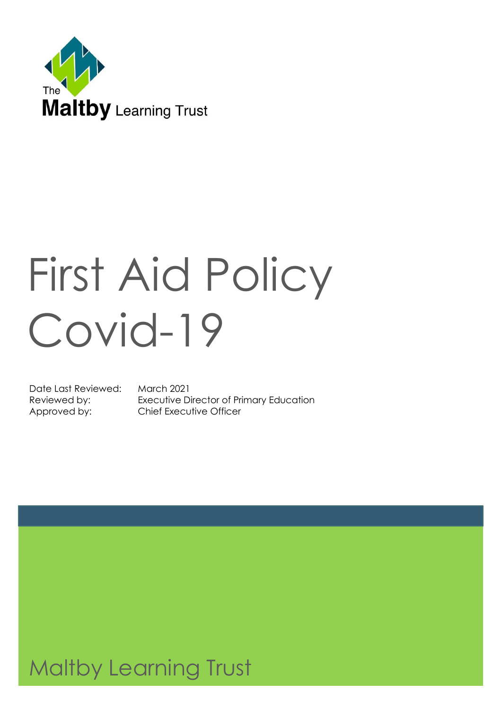

# First Aid Policy Covid-19

Date Last Reviewed: March 2021

Reviewed by: Executive Director of Primary Education Approved by: Chief Executive Officer

# Maltby Learning Trust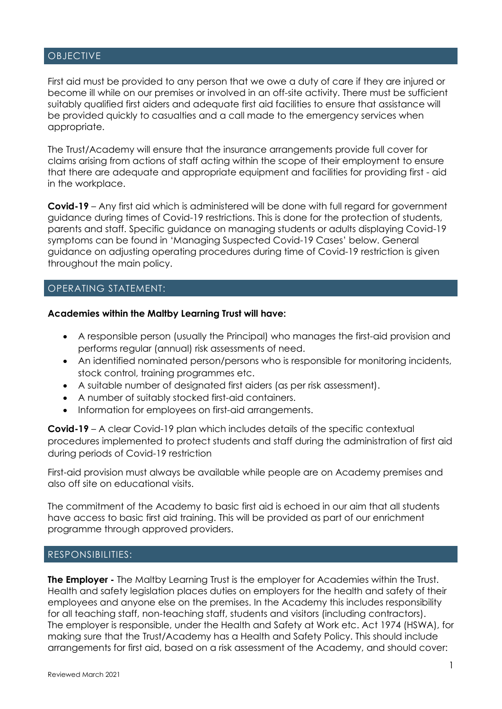#### OBJECTIVE

First aid must be provided to any person that we owe a duty of care if they are injured or become ill while on our premises or involved in an off-site activity. There must be sufficient suitably qualified first aiders and adequate first aid facilities to ensure that assistance will be provided quickly to casualties and a call made to the emergency services when appropriate.

The Trust/Academy will ensure that the insurance arrangements provide full cover for claims arising from actions of staff acting within the scope of their employment to ensure that there are adequate and appropriate equipment and facilities for providing first - aid in the workplace.

**Covid-19** – Any first aid which is administered will be done with full regard for government guidance during times of Covid-19 restrictions. This is done for the protection of students, parents and staff. Specific guidance on managing students or adults displaying Covid-19 symptoms can be found in 'Managing Suspected Covid-19 Cases' below. General guidance on adjusting operating procedures during time of Covid-19 restriction is given throughout the main policy.

# OPERATING STATEMENT:

#### **Academies within the Maltby Learning Trust will have:**

- A responsible person (usually the Principal) who manages the first-aid provision and performs regular (annual) risk assessments of need.
- An identified nominated person/persons who is responsible for monitoring incidents, stock control, training programmes etc.
- A suitable number of designated first aiders (as per risk assessment).
- A number of suitably stocked first-aid containers.
- Information for employees on first-aid arrangements.

**Covid-19** – A clear Covid-19 plan which includes details of the specific contextual procedures implemented to protect students and staff during the administration of first aid during periods of Covid-19 restriction

First-aid provision must always be available while people are on Academy premises and also off site on educational visits.

The commitment of the Academy to basic first aid is echoed in our aim that all students have access to basic first aid training. This will be provided as part of our enrichment programme through approved providers.

### RESPONSIBILITIES:

**The Employer -** The Maltby Learning Trust is the employer for Academies within the Trust. Health and safety legislation places duties on employers for the health and safety of their employees and anyone else on the premises. In the Academy this includes responsibility for all teaching staff, non-teaching staff, students and visitors (including contractors). The employer is responsible, under the Health and Safety at Work etc. Act 1974 (HSWA), for making sure that the Trust/Academy has a Health and Safety Policy. This should include arrangements for first aid, based on a risk assessment of the Academy, and should cover: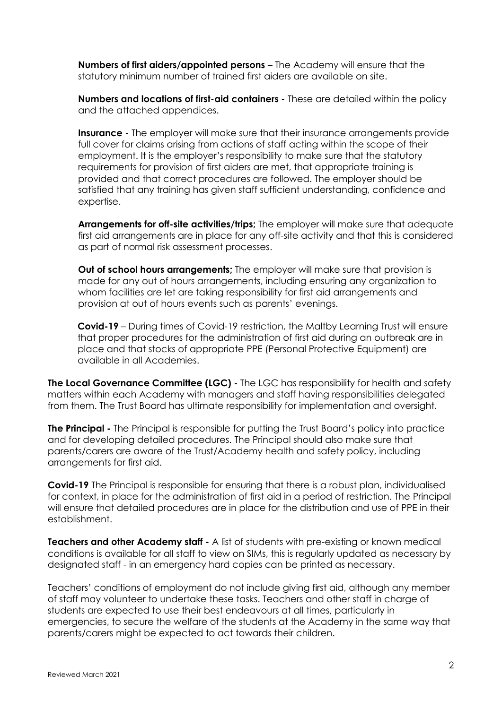**Numbers of first aiders/appointed persons** – The Academy will ensure that the statutory minimum number of trained first aiders are available on site.

**Numbers and locations of first-aid containers -** These are detailed within the policy and the attached appendices.

**Insurance** - The employer will make sure that their insurance arrangements provide full cover for claims arising from actions of staff acting within the scope of their employment. It is the employer's responsibility to make sure that the statutory requirements for provision of first aiders are met, that appropriate training is provided and that correct procedures are followed. The employer should be satisfied that any training has given staff sufficient understanding, confidence and expertise.

**Arrangements for off-site activities/trips;** The employer will make sure that adequate first aid arrangements are in place for any off-site activity and that this is considered as part of normal risk assessment processes.

**Out of school hours arrangements;** The employer will make sure that provision is made for any out of hours arrangements, including ensuring any organization to whom facilities are let are taking responsibility for first aid arrangements and provision at out of hours events such as parents' evenings.

**Covid-19** – During times of Covid-19 restriction, the Maltby Learning Trust will ensure that proper procedures for the administration of first aid during an outbreak are in place and that stocks of appropriate PPE (Personal Protective Equipment) are available in all Academies.

**The Local Governance Committee (LGC) -** The LGC has responsibility for health and safety matters within each Academy with managers and staff having responsibilities delegated from them. The Trust Board has ultimate responsibility for implementation and oversight.

**The Principal -** The Principal is responsible for putting the Trust Board's policy into practice and for developing detailed procedures. The Principal should also make sure that parents/carers are aware of the Trust/Academy health and safety policy, including arrangements for first aid.

**Covid-19** The Principal is responsible for ensuring that there is a robust plan, individualised for context, in place for the administration of first aid in a period of restriction. The Principal will ensure that detailed procedures are in place for the distribution and use of PPE in their establishment.

**Teachers and other Academy staff -** A list of students with pre-existing or known medical conditions is available for all staff to view on SIMs, this is regularly updated as necessary by designated staff - in an emergency hard copies can be printed as necessary.

Teachers' conditions of employment do not include giving first aid, although any member of staff may volunteer to undertake these tasks. Teachers and other staff in charge of students are expected to use their best endeavours at all times, particularly in emergencies, to secure the welfare of the students at the Academy in the same way that parents/carers might be expected to act towards their children.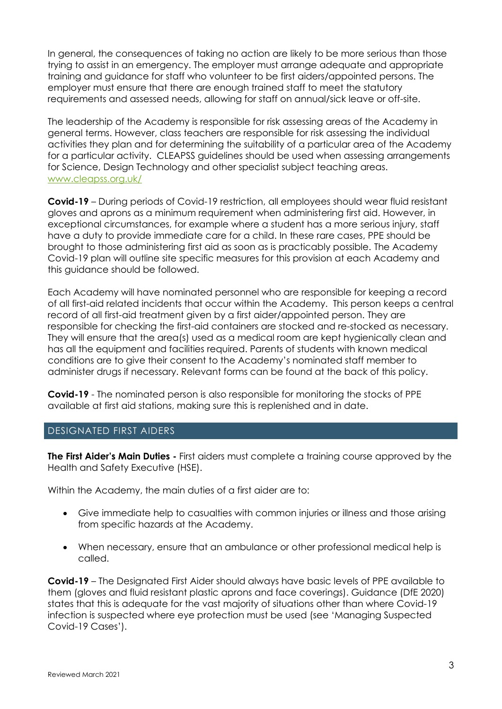In general, the consequences of taking no action are likely to be more serious than those trying to assist in an emergency. The employer must arrange adequate and appropriate training and guidance for staff who volunteer to be first aiders/appointed persons. The employer must ensure that there are enough trained staff to meet the statutory requirements and assessed needs, allowing for staff on annual/sick leave or off-site.

The leadership of the Academy is responsible for risk assessing areas of the Academy in general terms. However, class teachers are responsible for risk assessing the individual activities they plan and for determining the suitability of a particular area of the Academy for a particular activity. CLEAPSS guidelines should be used when assessing arrangements for Science, Design Technology and other specialist subject teaching areas. [www.cleapss.org.uk/](http://www.cleapss.org.uk/)

**Covid-19** – During periods of Covid-19 restriction, all employees should wear fluid resistant gloves and aprons as a minimum requirement when administering first aid. However, in exceptional circumstances, for example where a student has a more serious injury, staff have a duty to provide immediate care for a child. In these rare cases, PPE should be brought to those administering first aid as soon as is practicably possible. The Academy Covid-19 plan will outline site specific measures for this provision at each Academy and this guidance should be followed.

Each Academy will have nominated personnel who are responsible for keeping a record of all first-aid related incidents that occur within the Academy. This person keeps a central record of all first-aid treatment given by a first aider/appointed person. They are responsible for checking the first-aid containers are stocked and re-stocked as necessary. They will ensure that the area(s) used as a medical room are kept hygienically clean and has all the equipment and facilities required. Parents of students with known medical conditions are to give their consent to the Academy's nominated staff member to administer drugs if necessary. Relevant forms can be found at the back of this policy.

**Covid-19** - The nominated person is also responsible for monitoring the stocks of PPE available at first aid stations, making sure this is replenished and in date.

# DESIGNATED FIRST AIDERS

**The First Aider's Main Duties -** First aiders must complete a training course approved by the Health and Safety Executive (HSE).

Within the Academy, the main duties of a first aider are to:

- Give immediate help to casualties with common injuries or illness and those arising from specific hazards at the Academy.
- When necessary, ensure that an ambulance or other professional medical help is called.

**Covid-19** – The Designated First Aider should always have basic levels of PPE available to them (gloves and fluid resistant plastic aprons and face coverings). Guidance (DfE 2020) states that this is adequate for the vast majority of situations other than where Covid-19 infection is suspected where eye protection must be used (see 'Managing Suspected Covid-19 Cases').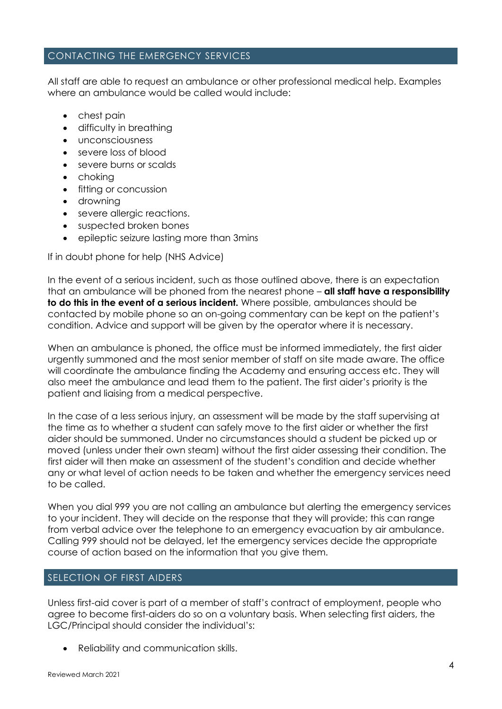# CONTACTING THE EMERGENCY SERVICES

All staff are able to request an ambulance or other professional medical help. Examples where an ambulance would be called would include:

- chest pain
- difficulty in breathing
- unconsciousness
- severe loss of blood
- severe burns or scalds
- choking
- fitting or concussion
- drowning
- severe allergic reactions.
- suspected broken bones
- epileptic seizure lasting more than 3mins

If in doubt phone for help (NHS Advice)

In the event of a serious incident, such as those outlined above, there is an expectation that an ambulance will be phoned from the nearest phone – **all staff have a responsibility to do this in the event of a serious incident.** Where possible, ambulances should be contacted by mobile phone so an on-going commentary can be kept on the patient's condition. Advice and support will be given by the operator where it is necessary.

When an ambulance is phoned, the office must be informed immediately, the first aider urgently summoned and the most senior member of staff on site made aware. The office will coordinate the ambulance finding the Academy and ensuring access etc. They will also meet the ambulance and lead them to the patient. The first aider's priority is the patient and liaising from a medical perspective.

In the case of a less serious injury, an assessment will be made by the staff supervising at the time as to whether a student can safely move to the first aider or whether the first aider should be summoned. Under no circumstances should a student be picked up or moved (unless under their own steam) without the first aider assessing their condition. The first aider will then make an assessment of the student's condition and decide whether any or what level of action needs to be taken and whether the emergency services need to be called.

When you dial 999 you are not calling an ambulance but alerting the emergency services to your incident. They will decide on the response that they will provide; this can range from verbal advice over the telephone to an emergency evacuation by air ambulance. Calling 999 should not be delayed, let the emergency services decide the appropriate course of action based on the information that you give them.

# SELECTION OF FIRST AIDERS

Unless first-aid cover is part of a member of staff's contract of employment, people who agree to become first-aiders do so on a voluntary basis. When selecting first aiders, the LGC/Principal should consider the individual's:

• Reliability and communication skills.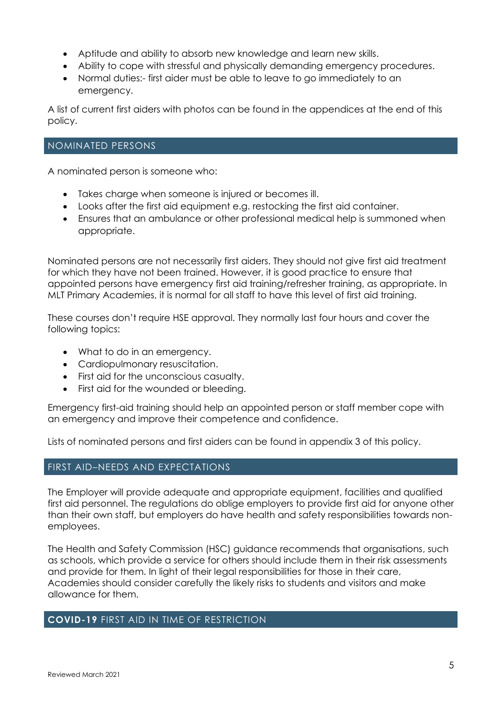- Aptitude and ability to absorb new knowledge and learn new skills.
- Ability to cope with stressful and physically demanding emergency procedures.
- Normal duties:- first aider must be able to leave to go immediately to an emergency.

A list of current first aiders with photos can be found in the appendices at the end of this policy.

## NOMINATED PERSONS

A nominated person is someone who:

- Takes charge when someone is injured or becomes ill.
- Looks after the first aid equipment e.g. restocking the first aid container.
- Ensures that an ambulance or other professional medical help is summoned when appropriate.

Nominated persons are not necessarily first aiders. They should not give first aid treatment for which they have not been trained. However, it is good practice to ensure that appointed persons have emergency first aid training/refresher training, as appropriate. In MLT Primary Academies, it is normal for all staff to have this level of first aid training.

These courses don't require HSE approval. They normally last four hours and cover the following topics:

- What to do in an emergency.
- Cardiopulmonary resuscitation.
- First aid for the unconscious casualty.
- First aid for the wounded or bleeding.

Emergency first-aid training should help an appointed person or staff member cope with an emergency and improve their competence and confidence.

Lists of nominated persons and first aiders can be found in appendix 3 of this policy.

# FIRST AID–NEEDS AND EXPECTATIONS

The Employer will provide adequate and appropriate equipment, facilities and qualified first aid personnel. The regulations do oblige employers to provide first aid for anyone other than their own staff, but employers do have health and safety responsibilities towards nonemployees.

The Health and Safety Commission (HSC) guidance recommends that organisations, such as schools, which provide a service for others should include them in their risk assessments and provide for them. In light of their legal responsibilities for those in their care, Academies should consider carefully the likely risks to students and visitors and make allowance for them.

#### **COVID-19** FIRST AID IN TIME OF RESTRICTION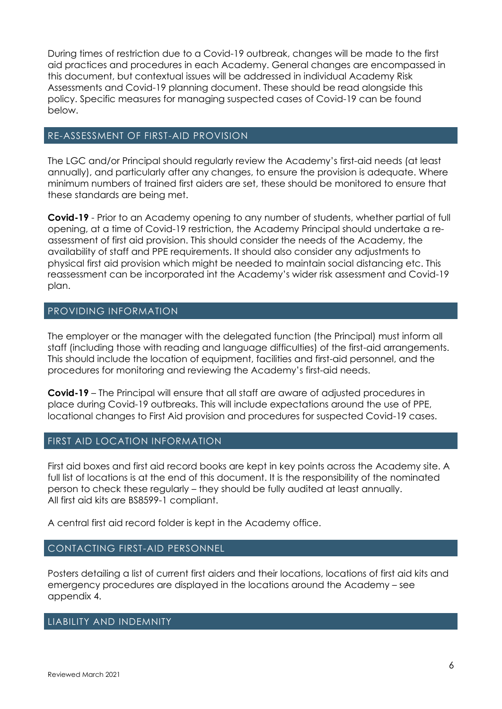During times of restriction due to a Covid-19 outbreak, changes will be made to the first aid practices and procedures in each Academy. General changes are encompassed in this document, but contextual issues will be addressed in individual Academy Risk Assessments and Covid-19 planning document. These should be read alongside this policy. Specific measures for managing suspected cases of Covid-19 can be found below.

# RE-ASSESSMENT OF FIRST-AID PROVISION

The LGC and/or Principal should regularly review the Academy's first-aid needs (at least annually), and particularly after any changes, to ensure the provision is adequate. Where minimum numbers of trained first aiders are set, these should be monitored to ensure that these standards are being met.

**Covid-19** - Prior to an Academy opening to any number of students, whether partial of full opening, at a time of Covid-19 restriction, the Academy Principal should undertake a reassessment of first aid provision. This should consider the needs of the Academy, the availability of staff and PPE requirements. It should also consider any adjustments to physical first aid provision which might be needed to maintain social distancing etc. This reassessment can be incorporated int the Academy's wider risk assessment and Covid-19 plan.

# PROVIDING INFORMATION

The employer or the manager with the delegated function (the Principal) must inform all staff (including those with reading and language difficulties) of the first-aid arrangements. This should include the location of equipment, facilities and first-aid personnel, and the procedures for monitoring and reviewing the Academy's first-aid needs.

**Covid-19** – The Principal will ensure that all staff are aware of adjusted procedures in place during Covid-19 outbreaks. This will include expectations around the use of PPE, locational changes to First Aid provision and procedures for suspected Covid-19 cases.

# FIRST AID LOCATION INFORMATION

First aid boxes and first aid record books are kept in key points across the Academy site. A full list of locations is at the end of this document. It is the responsibility of the nominated person to check these regularly – they should be fully audited at least annually. All first aid kits are BS8599-1 compliant.

A central first aid record folder is kept in the Academy office.

# CONTACTING FIRST-AID PERSONNEL

Posters detailing a list of current first aiders and their locations, locations of first aid kits and emergency procedures are displayed in the locations around the Academy – see appendix 4.

# LIABILITY AND INDEMNITY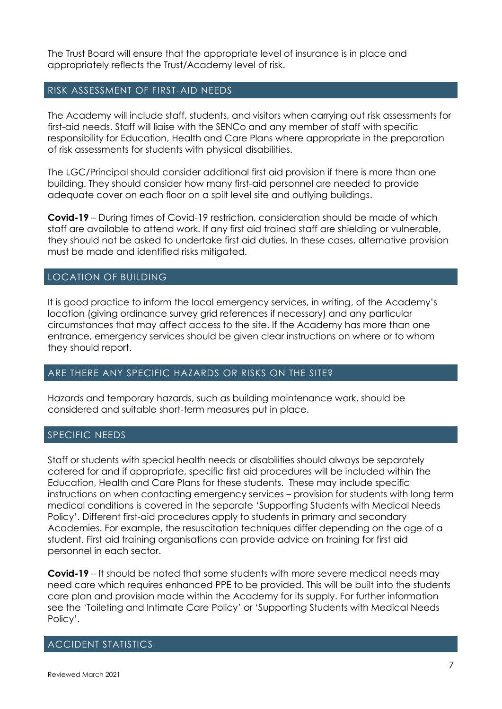The Trust Board will ensure that the appropriate level of insurance is in place and appropriately reflects the Trust/Academy level of risk.

## RISK ASSESSMENT OF FIRST-AID NEEDS

The Academy will include staff, students, and visitors when carrying out risk assessments for first-aid needs. Staff will liaise with the SENCo and any member of staff with specific responsibility for Education, Health and Care Plans where appropriate in the preparation of risk assessments for students with physical disabilities.

The LGC/Principal should consider additional first aid provision if there is more than one building. They should consider how many first-aid personnel are needed to provide adequate cover on each floor on a spilt level site and outlying buildings.

**Covid-19** – During times of Covid-19 restriction, consideration should be made of which staff are available to attend work. If any first aid trained staff are shielding or vulnerable, they should not be asked to undertake first aid duties. In these cases, alternative provision must be made and identified risks mitigated.

# LOCATION OF BUILDING

It is good practice to inform the local emergency services, in writing, of the Academy's location (giving ordinance survey grid references if necessary) and any particular circumstances that may affect access to the site. If the Academy has more than one entrance, emergency services should be given clear instructions on where or to whom they should report.

#### ARE THERE ANY SPECIFIC HAZARDS OR RISKS ON THE SITE?

Hazards and temporary hazards, such as building maintenance work, should be considered and suitable short-term measures put in place.

#### SPECIFIC NEEDS

Staff or students with special health needs or disabilities should always be separately catered for and if appropriate, specific first aid procedures will be included within the Education, Health and Care Plans for these students. These may include specific instructions on when contacting emergency services – provision for students with long term medical conditions is covered in the separate 'Supporting Students with Medical Needs Policy'. Different first-aid procedures apply to students in primary and secondary Academies. For example, the resuscitation techniques differ depending on the age of a student. First aid training organisations can provide advice on training for first aid personnel in each sector.

**Covid-19** – It should be noted that some students with more severe medical needs may need care which requires enhanced PPE to be provided. This will be built into the students care plan and provision made within the Academy for its supply. For further information see the 'Toileting and Intimate Care Policy' or 'Supporting Students with Medical Needs Policy'.

# ACCIDENT STATISTICS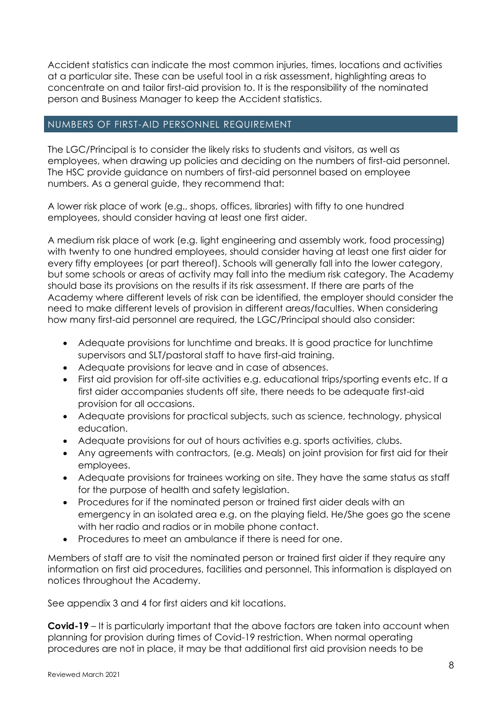Accident statistics can indicate the most common injuries, times, locations and activities at a particular site. These can be useful tool in a risk assessment, highlighting areas to concentrate on and tailor first-aid provision to. It is the responsibility of the nominated person and Business Manager to keep the Accident statistics.

# NUMBERS OF FIRST-AID PERSONNEL REQUIREMENT

The LGC/Principal is to consider the likely risks to students and visitors, as well as employees, when drawing up policies and deciding on the numbers of first-aid personnel. The HSC provide guidance on numbers of first-aid personnel based on employee numbers. As a general guide, they recommend that:

A lower risk place of work (e.g., shops, offices, libraries) with fifty to one hundred employees, should consider having at least one first aider.

A medium risk place of work (e.g. light engineering and assembly work, food processing) with twenty to one hundred employees, should consider having at least one first aider for every fifty employees (or part thereof). Schools will generally fall into the lower category, but some schools or areas of activity may fall into the medium risk category. The Academy should base its provisions on the results if its risk assessment. If there are parts of the Academy where different levels of risk can be identified, the employer should consider the need to make different levels of provision in different areas/faculties. When considering how many first-aid personnel are required, the LGC/Principal should also consider:

- Adequate provisions for lunchtime and breaks. It is good practice for lunchtime supervisors and SLT/pastoral staff to have first-aid training.
- Adequate provisions for leave and in case of absences.
- First aid provision for off-site activities e.g. educational trips/sporting events etc. If a first aider accompanies students off site, there needs to be adequate first-aid provision for all occasions.
- Adequate provisions for practical subjects, such as science, technology, physical education.
- Adequate provisions for out of hours activities e.g. sports activities, clubs.
- Any agreements with contractors, (e.g. Meals) on joint provision for first aid for their employees.
- Adequate provisions for trainees working on site. They have the same status as staff for the purpose of health and safety legislation.
- Procedures for if the nominated person or trained first aider deals with an emergency in an isolated area e.g. on the playing field. He/She goes go the scene with her radio and radios or in mobile phone contact.
- Procedures to meet an ambulance if there is need for one.

Members of staff are to visit the nominated person or trained first aider if they require any information on first aid procedures, facilities and personnel. This information is displayed on notices throughout the Academy.

See appendix 3 and 4 for first aiders and kit locations.

**Covid-19** – It is particularly important that the above factors are taken into account when planning for provision during times of Covid-19 restriction. When normal operating procedures are not in place, it may be that additional first aid provision needs to be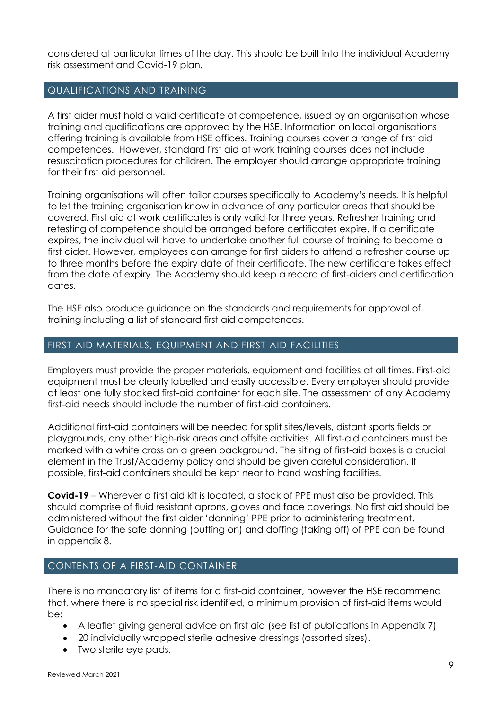considered at particular times of the day. This should be built into the individual Academy risk assessment and Covid-19 plan.

# QUALIFICATIONS AND TRAINING

A first aider must hold a valid certificate of competence, issued by an organisation whose training and qualifications are approved by the HSE. Information on local organisations offering training is available from HSE offices. Training courses cover a range of first aid competences. However, standard first aid at work training courses does not include resuscitation procedures for children. The employer should arrange appropriate training for their first-aid personnel.

Training organisations will often tailor courses specifically to Academy's needs. It is helpful to let the training organisation know in advance of any particular areas that should be covered. First aid at work certificates is only valid for three years. Refresher training and retesting of competence should be arranged before certificates expire. If a certificate expires, the individual will have to undertake another full course of training to become a first aider. However, employees can arrange for first aiders to attend a refresher course up to three months before the expiry date of their certificate. The new certificate takes effect from the date of expiry. The Academy should keep a record of first-aiders and certification dates.

The HSE also produce guidance on the standards and requirements for approval of training including a list of standard first aid competences.

# FIRST-AID MATERIALS, EQUIPMENT AND FIRST-AID FACILITIES

Employers must provide the proper materials, equipment and facilities at all times. First-aid equipment must be clearly labelled and easily accessible. Every employer should provide at least one fully stocked first-aid container for each site. The assessment of any Academy first-aid needs should include the number of first-aid containers.

Additional first-aid containers will be needed for split sites/levels, distant sports fields or playgrounds, any other high-risk areas and offsite activities. All first-aid containers must be marked with a white cross on a green background. The siting of first-aid boxes is a crucial element in the Trust/Academy policy and should be given careful consideration. If possible, first-aid containers should be kept near to hand washing facilities.

**Covid-19** – Wherever a first aid kit is located, a stock of PPE must also be provided. This should comprise of fluid resistant aprons, gloves and face coverings. No first aid should be administered without the first aider 'donning' PPE prior to administering treatment. Guidance for the safe donning (putting on) and doffing (taking off) of PPE can be found in appendix 8.

# CONTENTS OF A FIRST-AID CONTAINER

There is no mandatory list of items for a first-aid container, however the HSE recommend that, where there is no special risk identified, a minimum provision of first-aid items would be:

- A leaflet giving general advice on first aid (see list of publications in Appendix 7)
- 20 individually wrapped sterile adhesive dressings (assorted sizes).
- Two sterile eye pads.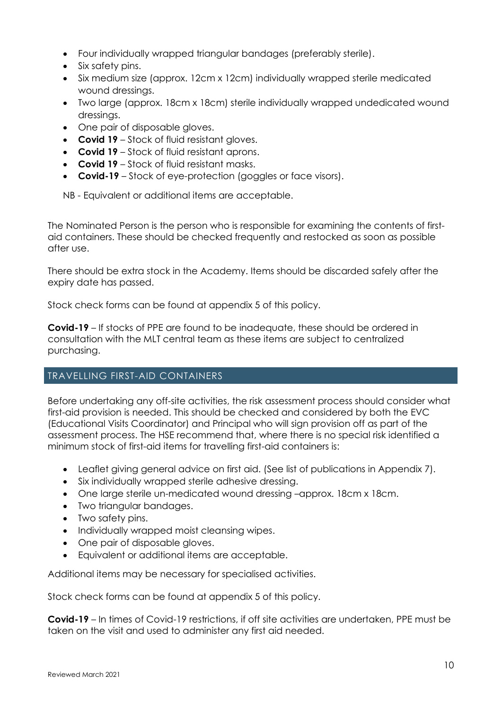- Four individually wrapped triangular bandages (preferably sterile).
- Six safety pins.
- Six medium size (approx. 12cm x 12cm) individually wrapped sterile medicated wound dressings.
- Two large (approx. 18cm x 18cm) sterile individually wrapped undedicated wound dressings.
- One pair of disposable gloves.
- **Covid 19** Stock of fluid resistant gloves.
- **Covid 19** Stock of fluid resistant aprons.
- **Covid 19**  Stock of fluid resistant masks.
- **Covid-19** Stock of eye-protection (goggles or face visors).

NB - Equivalent or additional items are acceptable.

The Nominated Person is the person who is responsible for examining the contents of firstaid containers. These should be checked frequently and restocked as soon as possible after use.

There should be extra stock in the Academy. Items should be discarded safely after the expiry date has passed.

Stock check forms can be found at appendix 5 of this policy.

**Covid-19** – If stocks of PPE are found to be inadequate, these should be ordered in consultation with the MLT central team as these items are subject to centralized purchasing.

# TRAVELLING FIRST-AID CONTAINERS

Before undertaking any off-site activities, the risk assessment process should consider what first-aid provision is needed. This should be checked and considered by both the EVC (Educational Visits Coordinator) and Principal who will sign provision off as part of the assessment process. The HSE recommend that, where there is no special risk identified a minimum stock of first-aid items for travelling first-aid containers is:

- Leaflet giving general advice on first aid. (See list of publications in Appendix 7).
- Six individually wrapped sterile adhesive dressing.
- One large sterile un-medicated wound dressing -approx. 18cm x 18cm.
- Two triangular bandages.
- Two safety pins.
- Individually wrapped moist cleansing wipes.
- One pair of disposable gloves.
- Equivalent or additional items are acceptable.

Additional items may be necessary for specialised activities.

Stock check forms can be found at appendix 5 of this policy.

**Covid-19** – In times of Covid-19 restrictions, if off site activities are undertaken, PPE must be taken on the visit and used to administer any first aid needed.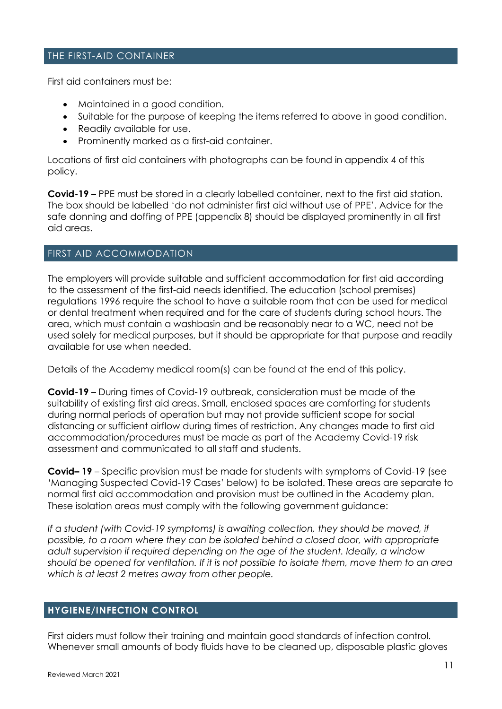# THE FIRST-AID CONTAINER

First aid containers must be:

- Maintained in a good condition.
- Suitable for the purpose of keeping the items referred to above in good condition.
- Readily available for use.
- Prominently marked as a first-aid container.

Locations of first aid containers with photographs can be found in appendix 4 of this policy.

**Covid-19** – PPE must be stored in a clearly labelled container, next to the first aid station. The box should be labelled 'do not administer first aid without use of PPE'. Advice for the safe donning and doffing of PPE (appendix 8) should be displayed prominently in all first aid areas.

# FIRST AID ACCOMMODATION

The employers will provide suitable and sufficient accommodation for first aid according to the assessment of the first-aid needs identified. The education (school premises) regulations 1996 require the school to have a suitable room that can be used for medical or dental treatment when required and for the care of students during school hours. The area, which must contain a washbasin and be reasonably near to a WC, need not be used solely for medical purposes, but it should be appropriate for that purpose and readily available for use when needed.

Details of the Academy medical room(s) can be found at the end of this policy.

**Covid-19** – During times of Covid-19 outbreak, consideration must be made of the suitability of existing first aid areas. Small, enclosed spaces are comforting for students during normal periods of operation but may not provide sufficient scope for social distancing or sufficient airflow during times of restriction. Any changes made to first aid accommodation/procedures must be made as part of the Academy Covid-19 risk assessment and communicated to all staff and students.

**Covid– 19** – Specific provision must be made for students with symptoms of Covid-19 (see 'Managing Suspected Covid-19 Cases' below) to be isolated. These areas are separate to normal first aid accommodation and provision must be outlined in the Academy plan. These isolation areas must comply with the following government guidance:

*If a student (with Covid-19 symptoms) is awaiting collection, they should be moved, if possible, to a room where they can be isolated behind a closed door, with appropriate adult supervision if required depending on the age of the student. Ideally, a window should be opened for ventilation. If it is not possible to isolate them, move them to an area which is at least 2 metres away from other people.*

# **HYGIENE/INFECTION CONTROL**

First aiders must follow their training and maintain good standards of infection control. Whenever small amounts of body fluids have to be cleaned up, disposable plastic gloves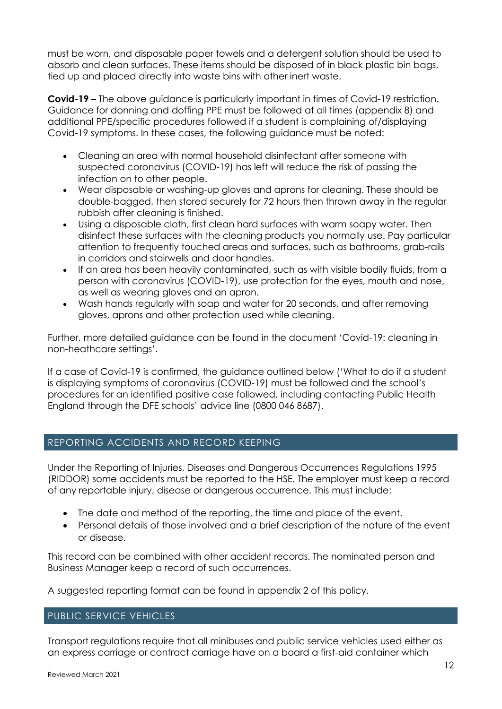must be worn, and disposable paper towels and a detergent solution should be used to absorb and clean surfaces. These items should be disposed of in black plastic bin bags, tied up and placed directly into waste bins with other inert waste.

**Covid-19** – The above guidance is particularly important in times of Covid-19 restriction. Guidance for donning and doffing PPE must be followed at all times (appendix 8) and additional PPE/specific procedures followed if a student is complaining of/displaying Covid-19 symptoms. In these cases, the following guidance must be noted:

- Cleaning an area with normal household disinfectant after someone with suspected coronavirus (COVID-19) has left will reduce the risk of passing the infection on to other people.
- Wear disposable or washing-up gloves and aprons for cleaning. These should be double-bagged, then stored securely for 72 hours then thrown away in the regular rubbish after cleaning is finished.
- Using a disposable cloth, first clean hard surfaces with warm soapy water. Then disinfect these surfaces with the cleaning products you normally use. Pay particular attention to frequently touched areas and surfaces, such as bathrooms, grab-rails in corridors and stairwells and door handles.
- If an area has been heavily contaminated, such as with visible bodily fluids, from a person with coronavirus (COVID-19), use protection for the eyes, mouth and nose, as well as wearing gloves and an apron.
- Wash hands regularly with soap and water for 20 seconds, and after removing gloves, aprons and other protection used while cleaning.

Further, more detailed guidance can be found in the document 'Covid-19: cleaning in non-heathcare settings'.

If a case of Covid-19 is confirmed, the guidance outlined below ('What to do if a student is displaying symptoms of coronavirus (COVID-19) must be followed and the school's procedures for an identified positive case followed, including contacting Public Health England through the DFE schools' advice line (0800 046 8687).

# REPORTING ACCIDENTS AND RECORD KEEPING

Under the Reporting of Injuries, Diseases and Dangerous Occurrences Regulations 1995 (RIDDOR) some accidents must be reported to the HSE. The employer must keep a record of any reportable injury, disease or dangerous occurrence. This must include:

- The date and method of the reporting, the time and place of the event.
- Personal details of those involved and a brief description of the nature of the event or disease.

This record can be combined with other accident records. The nominated person and Business Manager keep a record of such occurrences.

A suggested reporting format can be found in appendix 2 of this policy.

# PUBLIC SERVICE VEHICLES

Transport regulations require that all minibuses and public service vehicles used either as an express carriage or contract carriage have on a board a first-aid container which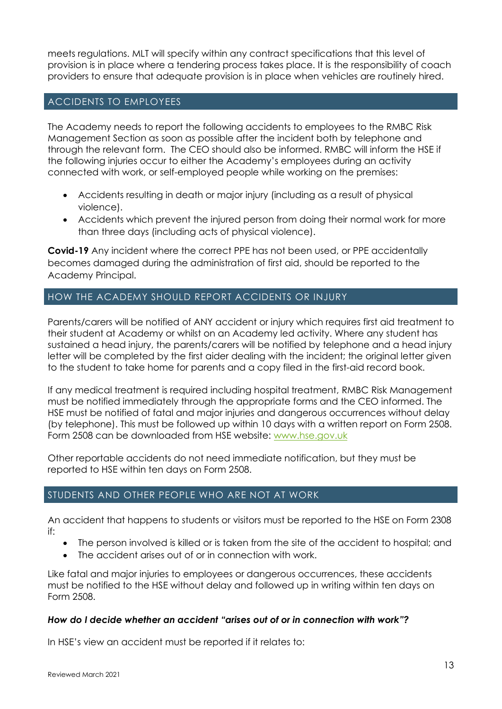meets regulations. MLT will specify within any contract specifications that this level of provision is in place where a tendering process takes place. It is the responsibility of coach providers to ensure that adequate provision is in place when vehicles are routinely hired.

# ACCIDENTS TO EMPLOYEES

The Academy needs to report the following accidents to employees to the RMBC Risk Management Section as soon as possible after the incident both by telephone and through the relevant form. The CEO should also be informed. RMBC will inform the HSE if the following injuries occur to either the Academy's employees during an activity connected with work, or self-employed people while working on the premises:

- Accidents resulting in death or major injury (including as a result of physical violence).
- Accidents which prevent the injured person from doing their normal work for more than three days (including acts of physical violence).

**Covid-19** Any incident where the correct PPE has not been used, or PPE accidentally becomes damaged during the administration of first aid, should be reported to the Academy Principal.

# HOW THE ACADEMY SHOULD REPORT ACCIDENTS OR INJURY

Parents/carers will be notified of ANY accident or injury which requires first aid treatment to their student at Academy or whilst on an Academy led activity. Where any student has sustained a head injury, the parents/carers will be notified by telephone and a head injury letter will be completed by the first aider dealing with the incident; the original letter given to the student to take home for parents and a copy filed in the first-aid record book.

If any medical treatment is required including hospital treatment, RMBC Risk Management must be notified immediately through the appropriate forms and the CEO informed. The HSE must be notified of fatal and major injuries and dangerous occurrences without delay (by telephone). This must be followed up within 10 days with a written report on Form 2508. Form 2508 can be downloaded from HSE website: [www.hse.gov.uk](http://www.hse.gov.uk/)

Other reportable accidents do not need immediate notification, but they must be reported to HSE within ten days on Form 2508.

# STUDENTS AND OTHER PEOPLE WHO ARE NOT AT WORK

An accident that happens to students or visitors must be reported to the HSE on Form 2308 if:

- The person involved is killed or is taken from the site of the accident to hospital; and
- The accident arises out of or in connection with work.

Like fatal and major injuries to employees or dangerous occurrences, these accidents must be notified to the HSE without delay and followed up in writing within ten days on Form 2508.

# *How do I decide whether an accident "arises out of or in connection with work"?*

In HSE's view an accident must be reported if it relates to: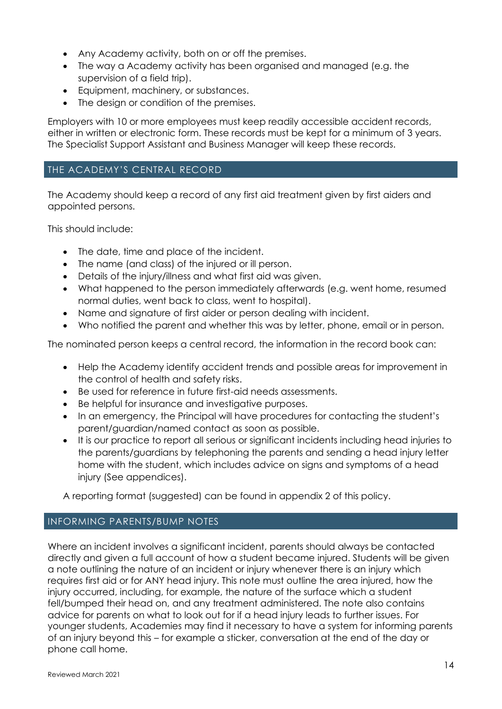- Any Academy activity, both on or off the premises.
- The way a Academy activity has been organised and managed (e.g. the supervision of a field trip).
- Equipment, machinery, or substances.
- The design or condition of the premises.

Employers with 10 or more employees must keep readily accessible accident records, either in written or electronic form. These records must be kept for a minimum of 3 years. The Specialist Support Assistant and Business Manager will keep these records.

# THE ACADEMY'S CENTRAL RECORD

The Academy should keep a record of any first aid treatment given by first aiders and appointed persons.

This should include:

- The date, time and place of the incident.
- The name (and class) of the injured or ill person.
- Details of the injury/illness and what first aid was given.
- What happened to the person immediately afterwards (e.g. went home, resumed normal duties, went back to class, went to hospital).
- Name and signature of first aider or person dealing with incident.
- Who notified the parent and whether this was by letter, phone, email or in person.

The nominated person keeps a central record, the information in the record book can:

- Help the Academy identify accident trends and possible areas for improvement in the control of health and safety risks.
- Be used for reference in future first-aid needs assessments.
- Be helpful for insurance and investigative purposes.
- In an emergency, the Principal will have procedures for contacting the student's parent/guardian/named contact as soon as possible.
- It is our practice to report all serious or significant incidents including head injuries to the parents/guardians by telephoning the parents and sending a head injury letter home with the student, which includes advice on signs and symptoms of a head injury (See appendices).

A reporting format (suggested) can be found in appendix 2 of this policy.

# INFORMING PARENTS/BUMP NOTES

Where an incident involves a significant incident, parents should always be contacted directly and given a full account of how a student became injured. Students will be given a note outlining the nature of an incident or injury whenever there is an injury which requires first aid or for ANY head injury. This note must outline the area injured, how the injury occurred, including, for example, the nature of the surface which a student fell/bumped their head on, and any treatment administered. The note also contains advice for parents on what to look out for if a head injury leads to further issues. For younger students, Academies may find it necessary to have a system for informing parents of an injury beyond this – for example a sticker, conversation at the end of the day or phone call home.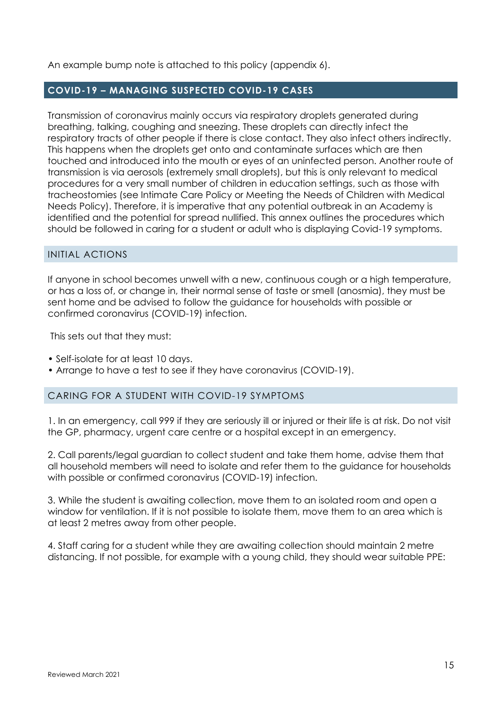An example bump note is attached to this policy (appendix 6).

# **COVID-19 – MANAGING SUSPECTED COVID-19 CASES**

Transmission of coronavirus mainly occurs via respiratory droplets generated during breathing, talking, coughing and sneezing. These droplets can directly infect the respiratory tracts of other people if there is close contact. They also infect others indirectly. This happens when the droplets get onto and contaminate surfaces which are then touched and introduced into the mouth or eyes of an uninfected person. Another route of transmission is via aerosols (extremely small droplets), but this is only relevant to medical procedures for a very small number of children in education settings, such as those with tracheostomies (see Intimate Care Policy or Meeting the Needs of Children with Medical Needs Policy). Therefore, it is imperative that any potential outbreak in an Academy is identified and the potential for spread nullified. This annex outlines the procedures which should be followed in caring for a student or adult who is displaying Covid-19 symptoms.

#### INITIAL ACTIONS

If anyone in school becomes unwell with a new, continuous cough or a high temperature, or has a loss of, or change in, their normal sense of taste or smell (anosmia), they must be sent home and be advised to follow the guidance for households with possible or confirmed coronavirus (COVID-19) infection.

This sets out that they must:

- Self-isolate for at least 10 days.
- Arrange to have a test to see if they have coronavirus (COVID-19).

# CARING FOR A STUDENT WITH COVID-19 SYMPTOMS

1. In an emergency, call 999 if they are seriously ill or injured or their life is at risk. Do not visit the GP, pharmacy, urgent care centre or a hospital except in an emergency.

2. Call parents/legal guardian to collect student and take them home, advise them that all household members will need to isolate and refer them to the guidance for households with possible or confirmed coronavirus (COVID-19) infection.

3. While the student is awaiting collection, move them to an isolated room and open a window for ventilation. If it is not possible to isolate them, move them to an area which is at least 2 metres away from other people.

4. Staff caring for a student while they are awaiting collection should maintain 2 metre distancing. If not possible, for example with a young child, they should wear suitable PPE: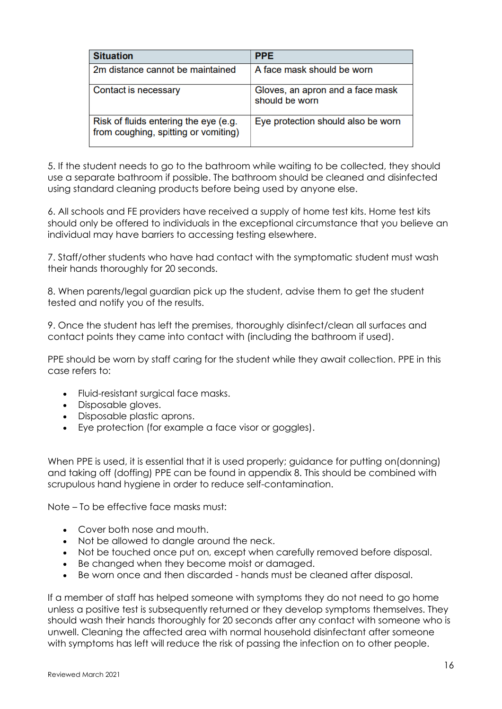| <b>Situation</b>                                                              | <b>PPE</b>                                         |
|-------------------------------------------------------------------------------|----------------------------------------------------|
| 2m distance cannot be maintained                                              | A face mask should be worn                         |
| Contact is necessary                                                          | Gloves, an apron and a face mask<br>should be worn |
| Risk of fluids entering the eye (e.g.<br>from coughing, spitting or vomiting) | Eye protection should also be worn                 |

5. If the student needs to go to the bathroom while waiting to be collected, they should use a separate bathroom if possible. The bathroom should be cleaned and disinfected using standard cleaning products before being used by anyone else.

6. All schools and FE providers have received a supply of home test kits. Home test kits should only be offered to individuals in the exceptional circumstance that you believe an individual may have barriers to accessing testing elsewhere.

7. Staff/other students who have had contact with the symptomatic student must wash their hands thoroughly for 20 seconds.

8. When parents/legal guardian pick up the student, advise them to get the student tested and notify you of the results.

9. Once the student has left the premises, thoroughly disinfect/clean all surfaces and contact points they came into contact with (including the bathroom if used).

PPE should be worn by staff caring for the student while they await collection. PPE in this case refers to:

- Fluid-resistant surgical face masks.
- Disposable gloves.
- Disposable plastic aprons.
- Eye protection (for example a face visor or goggles).

When PPE is used, it is essential that it is used properly; guidance for putting on(donning) and taking off (doffing) PPE can be found in appendix 8. This should be combined with scrupulous hand hygiene in order to reduce self-contamination.

Note – To be effective face masks must:

- Cover both nose and mouth.
- Not be allowed to dangle around the neck.
- Not be touched once put on, except when carefully removed before disposal.
- Be changed when they become moist or damaged.
- Be worn once and then discarded hands must be cleaned after disposal.

If a member of staff has helped someone with symptoms they do not need to go home unless a positive test is subsequently returned or they develop symptoms themselves. They should wash their hands thoroughly for 20 seconds after any contact with someone who is unwell. Cleaning the affected area with normal household disinfectant after someone with symptoms has left will reduce the risk of passing the infection on to other people.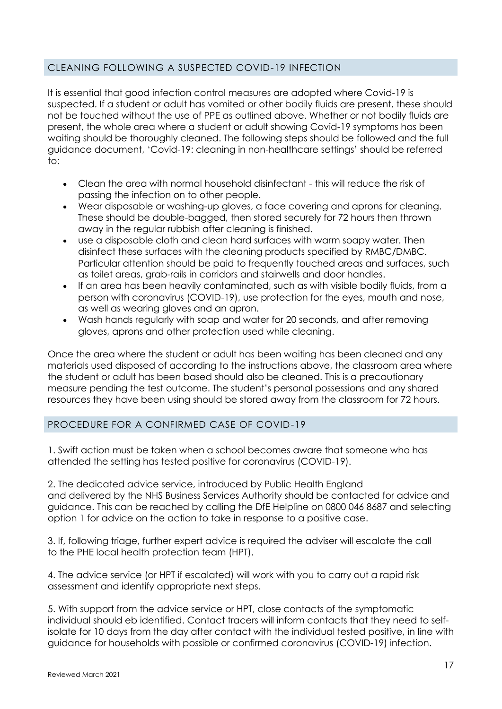# CLEANING FOLLOWING A SUSPECTED COVID-19 INFECTION

It is essential that good infection control measures are adopted where Covid-19 is suspected. If a student or adult has vomited or other bodily fluids are present, these should not be touched without the use of PPE as outlined above. Whether or not bodily fluids are present, the whole area where a student or adult showing Covid-19 symptoms has been waiting should be thoroughly cleaned. The following steps should be followed and the full guidance document, 'Covid-19: cleaning in non-healthcare settings' should be referred to:

- Clean the area with normal household disinfectant this will reduce the risk of passing the infection on to other people.
- Wear disposable or washing-up gloves, a face covering and aprons for cleaning. These should be double-bagged, then stored securely for 72 hours then thrown away in the regular rubbish after cleaning is finished.
- use a disposable cloth and clean hard surfaces with warm soapy water. Then disinfect these surfaces with the cleaning products specified by RMBC/DMBC. Particular attention should be paid to frequently touched areas and surfaces, such as toilet areas, grab-rails in corridors and stairwells and door handles.
- If an area has been heavily contaminated, such as with visible bodily fluids, from a person with coronavirus (COVID-19), use protection for the eyes, mouth and nose, as well as wearing gloves and an apron.
- Wash hands regularly with soap and water for 20 seconds, and after removing gloves, aprons and other protection used while cleaning.

Once the area where the student or adult has been waiting has been cleaned and any materials used disposed of according to the instructions above, the classroom area where the student or adult has been based should also be cleaned. This is a precautionary measure pending the test outcome. The student's personal possessions and any shared resources they have been using should be stored away from the classroom for 72 hours.

# PROCEDURE FOR A CONFIRMED CASE OF COVID-19

1. Swift action must be taken when a school becomes aware that someone who has attended the setting has tested positive for coronavirus (COVID-19).

2. The dedicated advice service, introduced by Public Health England and delivered by the NHS Business Services Authority should be contacted for advice and guidance. This can be reached by calling the DfE Helpline on 0800 046 8687 and selecting option 1 for advice on the action to take in response to a positive case.

3. If, following triage, further expert advice is required the adviser will escalate the call to the PHE local health protection team (HPT).

4. The advice service (or HPT if escalated) will work with you to carry out a rapid risk assessment and identify appropriate next steps.

5. With support from the advice service or HPT, close contacts of the symptomatic individual should eb identified. Contact tracers will inform contacts that they need to selfisolate for 10 days from the day after contact with the individual tested positive, in line with guidance for households with possible or confirmed coronavirus (COVID-19) infection.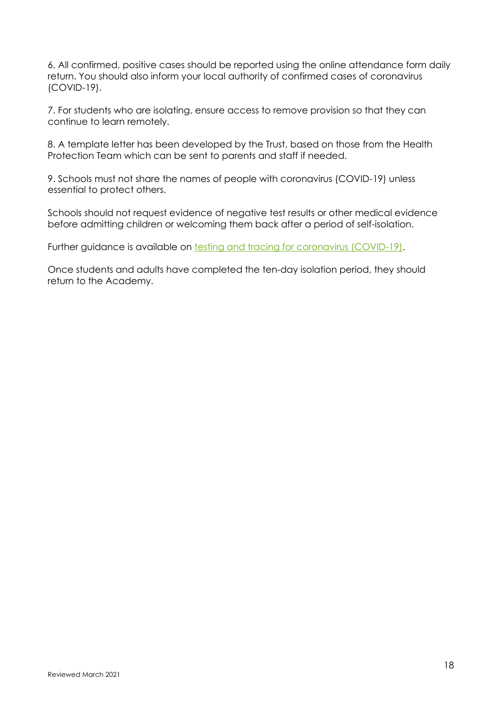6. All confirmed, positive cases should be reported using the online attendance form daily return. You should also inform your local authority of confirmed cases of coronavirus (COVID-19).

7. For students who are isolating, ensure access to remove provision so that they can continue to learn remotely.

8. A template letter has been developed by the Trust, based on those from the Health Protection Team which can be sent to parents and staff if needed.

9. Schools must not share the names of people with coronavirus (COVID-19) unless essential to protect others.

Schools should not request evidence of negative test results or other medical evidence before admitting children or welcoming them back after a period of self-isolation.

Further guidance is available on [testing and tracing for coronavirus \(COVID-19\).](https://www.nhs.uk/conditions/coronavirus-covid-19/testing-and-tracing/)

Once students and adults have completed the ten-day isolation period, they should return to the Academy.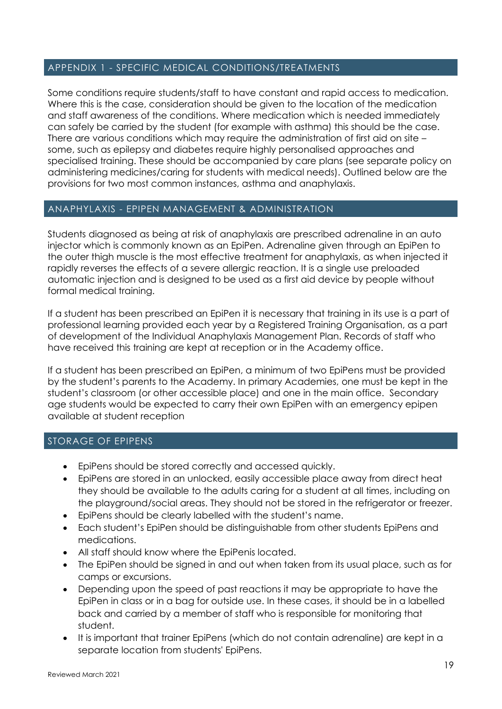# APPENDIX 1 - SPECIFIC MEDICAL CONDITIONS/TREATMENTS

Some conditions require students/staff to have constant and rapid access to medication. Where this is the case, consideration should be given to the location of the medication and staff awareness of the conditions. Where medication which is needed immediately can safely be carried by the student (for example with asthma) this should be the case. There are various conditions which may require the administration of first aid on site – some, such as epilepsy and diabetes require highly personalised approaches and specialised training. These should be accompanied by care plans (see separate policy on administering medicines/caring for students with medical needs). Outlined below are the provisions for two most common instances, asthma and anaphylaxis.

# ANAPHYLAXIS - EPIPEN MANAGEMENT & ADMINISTRATION

Students diagnosed as being at risk of anaphylaxis are prescribed adrenaline in an auto injector which is commonly known as an EpiPen. Adrenaline given through an EpiPen to the outer thigh muscle is the most effective treatment for anaphylaxis, as when injected it rapidly reverses the effects of a severe allergic reaction. It is a single use preloaded automatic injection and is designed to be used as a first aid device by people without formal medical training.

If a student has been prescribed an EpiPen it is necessary that training in its use is a part of professional learning provided each year by a Registered Training Organisation, as a part of development of the Individual Anaphylaxis Management Plan. Records of staff who have received this training are kept at reception or in the Academy office.

If a student has been prescribed an EpiPen, a minimum of two EpiPens must be provided by the student's parents to the Academy. In primary Academies, one must be kept in the student's classroom (or other accessible place) and one in the main office. Secondary age students would be expected to carry their own EpiPen with an emergency epipen available at student reception

# STORAGE OF EPIPENS

- EpiPens should be stored correctly and accessed quickly.
- EpiPens are stored in an unlocked, easily accessible place away from direct heat they should be available to the adults caring for a student at all times, including on the playground/social areas. They should not be stored in the refrigerator or freezer.
- EpiPens should be clearly labelled with the student's name.
- Each student's EpiPen should be distinguishable from other students EpiPens and medications.
- All staff should know where the EpiPenis located.
- The EpiPen should be signed in and out when taken from its usual place, such as for camps or excursions.
- Depending upon the speed of past reactions it may be appropriate to have the EpiPen in class or in a bag for outside use. In these cases, it should be in a labelled back and carried by a member of staff who is responsible for monitoring that student.
- It is important that trainer EpiPens (which do not contain adrenaline) are kept in a separate location from students' EpiPens.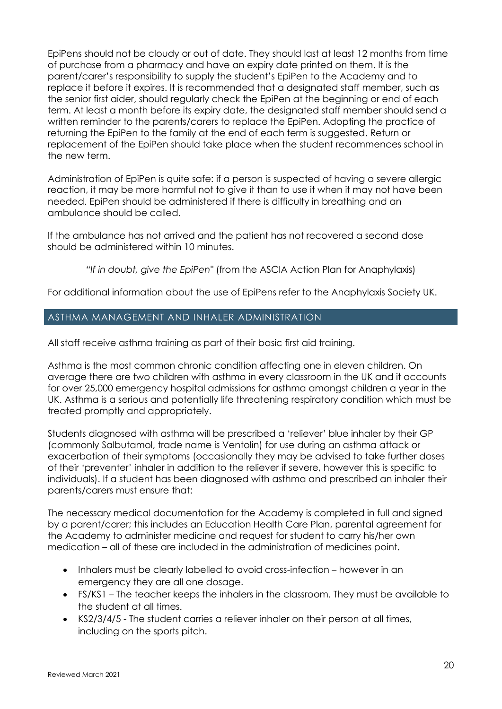EpiPens should not be cloudy or out of date. They should last at least 12 months from time of purchase from a pharmacy and have an expiry date printed on them. It is the parent/carer's responsibility to supply the student's EpiPen to the Academy and to replace it before it expires. It is recommended that a designated staff member, such as the senior first aider, should regularly check the EpiPen at the beginning or end of each term. At least a month before its expiry date, the designated staff member should send a written reminder to the parents/carers to replace the EpiPen. Adopting the practice of returning the EpiPen to the family at the end of each term is suggested. Return or replacement of the EpiPen should take place when the student recommences school in the new term.

Administration of EpiPen is quite safe: if a person is suspected of having a severe allergic reaction, it may be more harmful not to give it than to use it when it may not have been needed. EpiPen should be administered if there is difficulty in breathing and an ambulance should be called.

If the ambulance has not arrived and the patient has not recovered a second dose should be administered within 10 minutes.

*"If in doubt, give the EpiPen"* (from the ASCIA Action Plan for Anaphylaxis)

For additional information about the use of EpiPens refer to the Anaphylaxis Society UK.

# ASTHMA MANAGEMENT AND INHALER ADMINISTRATION

All staff receive asthma training as part of their basic first aid training.

Asthma is the most common chronic condition affecting one in eleven children. On average there are two children with asthma in every classroom in the UK and it accounts for over 25,000 emergency hospital admissions for asthma amongst children a year in the UK. Asthma is a serious and potentially life threatening respiratory condition which must be treated promptly and appropriately.

Students diagnosed with asthma will be prescribed a 'reliever' blue inhaler by their GP (commonly Salbutamol, trade name is Ventolin) for use during an asthma attack or exacerbation of their symptoms (occasionally they may be advised to take further doses of their 'preventer' inhaler in addition to the reliever if severe, however this is specific to individuals). If a student has been diagnosed with asthma and prescribed an inhaler their parents/carers must ensure that:

The necessary medical documentation for the Academy is completed in full and signed by a parent/carer; this includes an Education Health Care Plan, parental agreement for the Academy to administer medicine and request for student to carry his/her own medication – all of these are included in the administration of medicines point.

- Inhalers must be clearly labelled to avoid cross-infection however in an emergency they are all one dosage.
- FS/KS1 The teacher keeps the inhalers in the classroom. They must be available to the student at all times.
- KS2/3/4/5 The student carries a reliever inhaler on their person at all times, including on the sports pitch.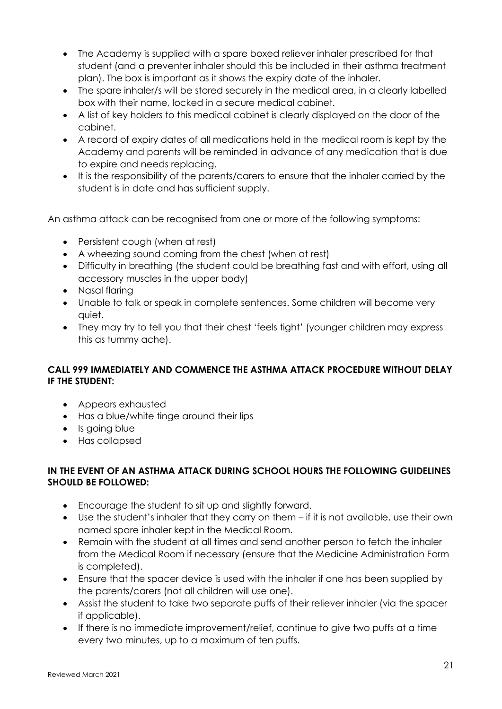- The Academy is supplied with a spare boxed reliever inhaler prescribed for that student (and a preventer inhaler should this be included in their asthma treatment plan). The box is important as it shows the expiry date of the inhaler.
- The spare inhaler/s will be stored securely in the medical area, in a clearly labelled box with their name, locked in a secure medical cabinet.
- A list of key holders to this medical cabinet is clearly displayed on the door of the cabinet.
- A record of expiry dates of all medications held in the medical room is kept by the Academy and parents will be reminded in advance of any medication that is due to expire and needs replacing.
- It is the responsibility of the parents/carers to ensure that the inhaler carried by the student is in date and has sufficient supply.

An asthma attack can be recognised from one or more of the following symptoms:

- Persistent cough (when at rest)
- A wheezing sound coming from the chest (when at rest)
- Difficulty in breathing (the student could be breathing fast and with effort, using all accessory muscles in the upper body)
- Nasal flaring
- Unable to talk or speak in complete sentences. Some children will become very quiet.
- They may try to tell you that their chest 'feels tight' (younger children may express this as tummy ache).

# **CALL 999 IMMEDIATELY AND COMMENCE THE ASTHMA ATTACK PROCEDURE WITHOUT DELAY IF THE STUDENT:**

- Appears exhausted
- Has a blue/white tinge around their lips
- Is going blue
- Has collapsed

# **IN THE EVENT OF AN ASTHMA ATTACK DURING SCHOOL HOURS THE FOLLOWING GUIDELINES SHOULD BE FOLLOWED:**

- Encourage the student to sit up and slightly forward.
- Use the student's inhaler that they carry on them if it is not available, use their own named spare inhaler kept in the Medical Room.
- Remain with the student at all times and send another person to fetch the inhaler from the Medical Room if necessary (ensure that the Medicine Administration Form is completed).
- Ensure that the spacer device is used with the inhaler if one has been supplied by the parents/carers (not all children will use one).
- Assist the student to take two separate puffs of their reliever inhaler (via the spacer if applicable).
- If there is no immediate improvement/relief, continue to give two puffs at a time every two minutes, up to a maximum of ten puffs.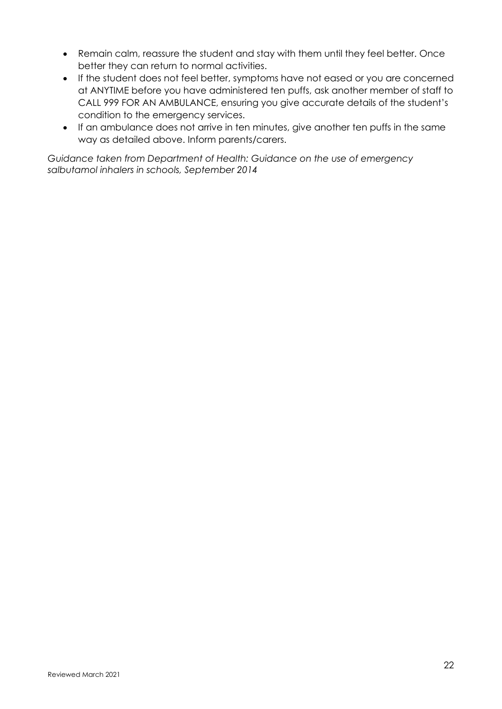- Remain calm, reassure the student and stay with them until they feel better. Once better they can return to normal activities.
- If the student does not feel better, symptoms have not eased or you are concerned at ANYTIME before you have administered ten puffs, ask another member of staff to CALL 999 FOR AN AMBULANCE, ensuring you give accurate details of the student's condition to the emergency services.
- If an ambulance does not arrive in ten minutes, give another ten puffs in the same way as detailed above. Inform parents/carers.

*Guidance taken from Department of Health: Guidance on the use of emergency salbutamol inhalers in schools, September 2014*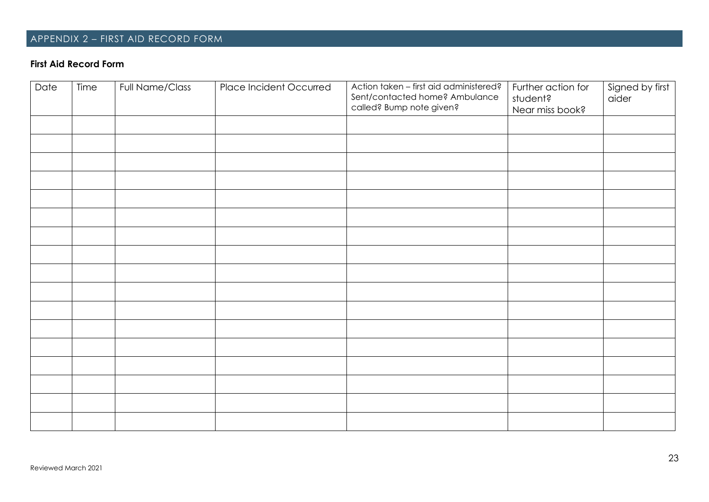# APPENDIX 2 – FIRST AID RECORD FORM

# **First Aid Record Form**

| Date | Time | Full Name/Class | Place Incident Occurred | Action taken - first aid administered?<br>Sent/contacted home? Ambulance<br>called? Bump note given? | Further action for<br>student?<br>Near miss book? | Signed by first<br>aider |
|------|------|-----------------|-------------------------|------------------------------------------------------------------------------------------------------|---------------------------------------------------|--------------------------|
|      |      |                 |                         |                                                                                                      |                                                   |                          |
|      |      |                 |                         |                                                                                                      |                                                   |                          |
|      |      |                 |                         |                                                                                                      |                                                   |                          |
|      |      |                 |                         |                                                                                                      |                                                   |                          |
|      |      |                 |                         |                                                                                                      |                                                   |                          |
|      |      |                 |                         |                                                                                                      |                                                   |                          |
|      |      |                 |                         |                                                                                                      |                                                   |                          |
|      |      |                 |                         |                                                                                                      |                                                   |                          |
|      |      |                 |                         |                                                                                                      |                                                   |                          |
|      |      |                 |                         |                                                                                                      |                                                   |                          |
|      |      |                 |                         |                                                                                                      |                                                   |                          |
|      |      |                 |                         |                                                                                                      |                                                   |                          |
|      |      |                 |                         |                                                                                                      |                                                   |                          |
|      |      |                 |                         |                                                                                                      |                                                   |                          |
|      |      |                 |                         |                                                                                                      |                                                   |                          |
|      |      |                 |                         |                                                                                                      |                                                   |                          |
|      |      |                 |                         |                                                                                                      |                                                   |                          |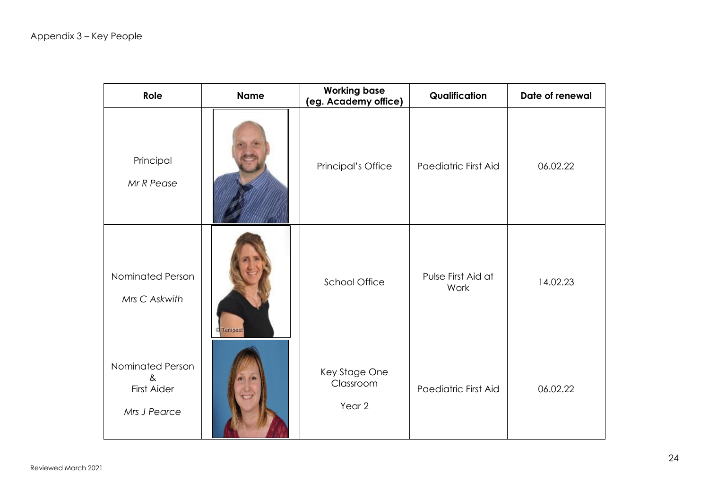| Role                                                           | <b>Working base</b><br><b>Name</b><br>(eg. Academy office) |                                                 | Qualification              | Date of renewal |
|----------------------------------------------------------------|------------------------------------------------------------|-------------------------------------------------|----------------------------|-----------------|
| Principal<br>Mr R Pease                                        |                                                            | Principal's Office                              | Paediatric First Aid       | 06.02.22        |
| Nominated Person<br>Mrs C Askwith                              | <b>Tempest</b>                                             | <b>School Office</b>                            | Pulse First Aid at<br>Work | 14.02.23        |
| Nominated Person<br>$8\epsilon$<br>First Aider<br>Mrs J Pearce |                                                            | Key Stage One<br>Classroom<br>Year <sub>2</sub> | Paediatric First Aid       | 06.02.22        |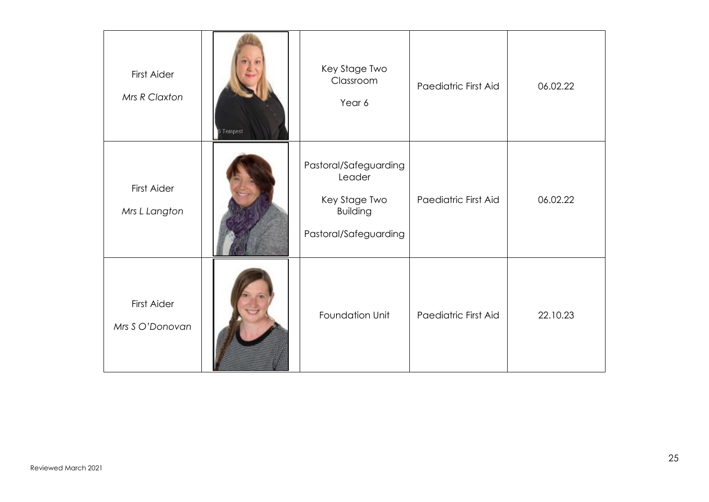| <b>First Aider</b><br>Mrs R Claxton | Tempest | Key Stage Two<br>Classroom<br>Year 6                                                         | Paediatric First Aid | 06.02.22 |
|-------------------------------------|---------|----------------------------------------------------------------------------------------------|----------------------|----------|
| <b>First Aider</b><br>Mrs L Langton |         | Pastoral/Safeguarding<br>Leader<br>Key Stage Two<br><b>Building</b><br>Pastoral/Safeguarding | Paediatric First Aid | 06.02.22 |
| First Aider<br>Mrs S O'Donovan      |         | Foundation Unit                                                                              | Paediatric First Aid | 22.10.23 |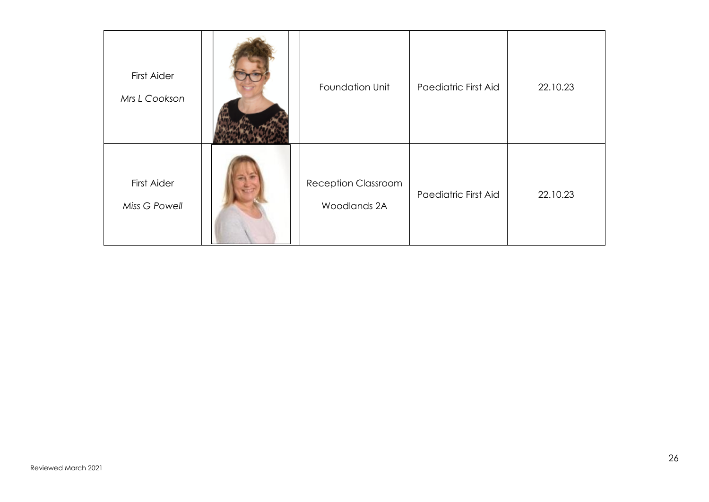| First Aider<br>Mrs L Cookson | Foundation Unit                            | Paediatric First Aid | 22.10.23 |
|------------------------------|--------------------------------------------|----------------------|----------|
| First Aider<br>Miss G Powell | <b>Reception Classroom</b><br>Woodlands 2A | Paediatric First Aid | 22.10.23 |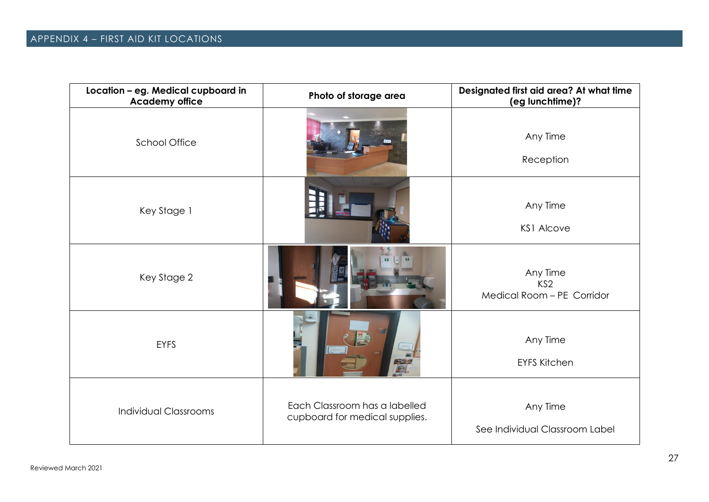| Location - eg. Medical cupboard in<br><b>Academy office</b> | Photo of storage area                                           | Designated first aid area? At what time<br>(eg lunchtime)? |
|-------------------------------------------------------------|-----------------------------------------------------------------|------------------------------------------------------------|
| <b>School Office</b>                                        |                                                                 | Any Time<br>Reception                                      |
| Key Stage 1                                                 |                                                                 | Any Time<br><b>KS1 Alcove</b>                              |
| Key Stage 2                                                 |                                                                 | Any Time<br>KS <sub>2</sub><br>Medical Room - PE Corridor  |
| <b>EYFS</b>                                                 |                                                                 | Any Time<br><b>EYFS Kitchen</b>                            |
| <b>Individual Classrooms</b>                                | Each Classroom has a labelled<br>cupboard for medical supplies. | Any Time<br>See Individual Classroom Label                 |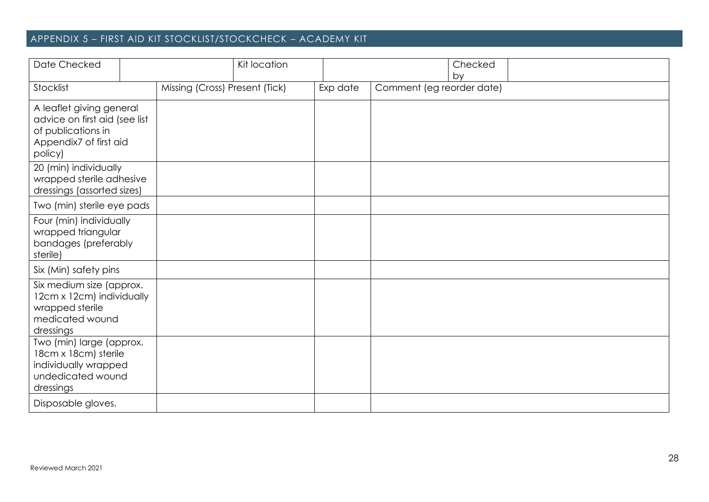# APPENDIX 5 – FIRST AID KIT STOCKLIST/STOCKCHECK – ACADEMY KIT

| Date Checked                                                                                                         |                                | Kit location |          |                           | Checked<br>by |
|----------------------------------------------------------------------------------------------------------------------|--------------------------------|--------------|----------|---------------------------|---------------|
| Stocklist                                                                                                            | Missing (Cross) Present (Tick) |              | Exp date | Comment (eg reorder date) |               |
| A leaflet giving general<br>advice on first aid (see list<br>of publications in<br>Appendix7 of first aid<br>policy) |                                |              |          |                           |               |
| 20 (min) individually<br>wrapped sterile adhesive<br>dressings (assorted sizes)                                      |                                |              |          |                           |               |
| Two (min) sterile eye pads                                                                                           |                                |              |          |                           |               |
| Four (min) individually<br>wrapped triangular<br>bandages (preferably<br>sterile)                                    |                                |              |          |                           |               |
| Six (Min) safety pins                                                                                                |                                |              |          |                           |               |
| Six medium size (approx.<br>12cm x 12cm) individually<br>wrapped sterile<br>medicated wound<br>dressings             |                                |              |          |                           |               |
| Two (min) large (approx.<br>18cm x 18cm) sterile<br>individually wrapped<br>undedicated wound<br>dressings           |                                |              |          |                           |               |
| Disposable gloves.                                                                                                   |                                |              |          |                           |               |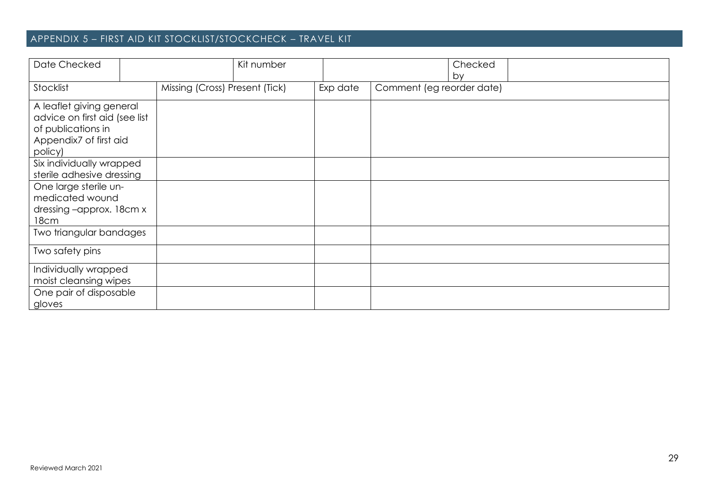# APPENDIX 5 – FIRST AID KIT STOCKLIST/STOCKCHECK – TRAVEL KIT

| Date Checked                                                                                                         |                                | Kit number |          |                           | Checked<br>by |  |
|----------------------------------------------------------------------------------------------------------------------|--------------------------------|------------|----------|---------------------------|---------------|--|
| Stocklist                                                                                                            | Missing (Cross) Present (Tick) |            | Exp date | Comment (eg reorder date) |               |  |
| A leaflet giving general<br>advice on first aid (see list<br>of publications in<br>Appendix7 of first aid<br>policy) |                                |            |          |                           |               |  |
| Six individually wrapped<br>sterile adhesive dressing                                                                |                                |            |          |                           |               |  |
| One large sterile un-<br>medicated wound<br>dressing-approx. 18cm x<br>18cm                                          |                                |            |          |                           |               |  |
| Two triangular bandages                                                                                              |                                |            |          |                           |               |  |
| Two safety pins                                                                                                      |                                |            |          |                           |               |  |
| Individually wrapped<br>moist cleansing wipes                                                                        |                                |            |          |                           |               |  |
| One pair of disposable<br>gloves                                                                                     |                                |            |          |                           |               |  |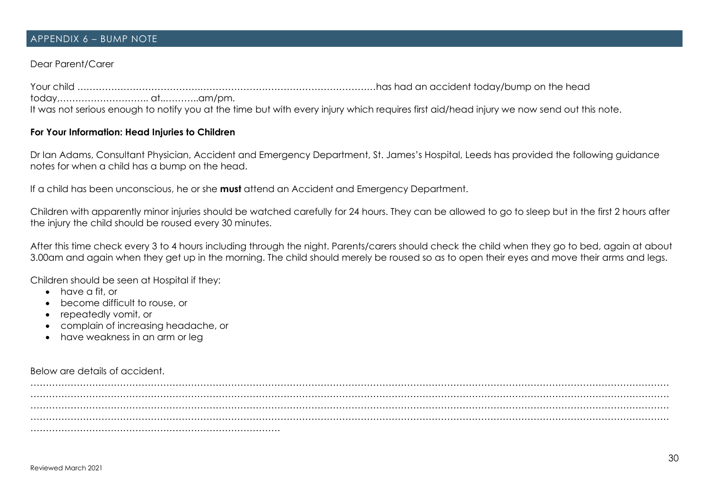#### APPENDIX 6 – BUMP NOTE

### Dear Parent/Carer

Your child ………………………………….…………………………………………………has had an accident today/bump on the head today,……………………….. at..………..am/pm. It was not serious enough to notify you at the time but with every injury which requires first aid/head injury we now send out this note.

#### **For Your Information: Head Injuries to Children**

Dr Ian Adams, Consultant Physician, Accident and Emergency Department, St. James's Hospital, Leeds has provided the following guidance notes for when a child has a bump on the head.

If a child has been unconscious, he or she **must** attend an Accident and Emergency Department.

Children with apparently minor injuries should be watched carefully for 24 hours. They can be allowed to go to sleep but in the first 2 hours after the injury the child should be roused every 30 minutes.

After this time check every 3 to 4 hours including through the night. Parents/carers should check the child when they go to bed, again at about 3.00am and again when they get up in the morning. The child should merely be roused so as to open their eyes and move their arms and legs.

Children should be seen at Hospital if they:

- have a fit, or
- become difficult to rouse, or
- repeatedly vomit, or
- complain of increasing headache, or
- have weakness in an arm or leg

Below are details of accident.

……………………………………………………………………………………………………………………………………………………………………………………… ……………………………………………………………………………………………………………………………………………………………………………………… ……………………………………………………………………………………………………………………………………………………………………………………… ……………………………………………………………………………………………………………………………………………………………………………………… ………………………………………………………………………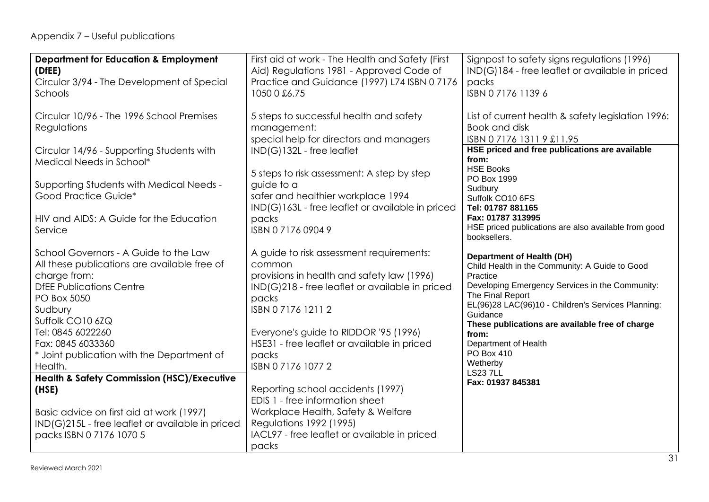# Appendix 7 – Useful publications

| <b>Department for Education &amp; Employment</b>      | First aid at work - The Health and Safety (First | Signpost to safety signs regulations (1996)                         |
|-------------------------------------------------------|--------------------------------------------------|---------------------------------------------------------------------|
|                                                       |                                                  | IND(G)184 - free leaflet or available in priced                     |
| (DfEE)                                                | Aid) Regulations 1981 - Approved Code of         |                                                                     |
| Circular 3/94 - The Development of Special            | Practice and Guidance (1997) L74 ISBN 07176      | packs                                                               |
| Schools                                               | 1050 0 £6.75                                     | ISBN 0 7176 1139 6                                                  |
|                                                       |                                                  |                                                                     |
| Circular 10/96 - The 1996 School Premises             | 5 steps to successful health and safety          | List of current health & safety legislation 1996:                   |
| Regulations                                           | management:                                      | Book and disk                                                       |
|                                                       | special help for directors and managers          | ISBN 0717613119 £11.95                                              |
| Circular 14/96 - Supporting Students with             | IND(G)132L - free leaflet                        | HSE priced and free publications are available                      |
| Medical Needs in School*                              |                                                  | from:                                                               |
|                                                       | 5 steps to risk assessment: A step by step       | <b>HSE Books</b>                                                    |
| Supporting Students with Medical Needs -              | guide to a                                       | PO Box 1999                                                         |
| Good Practice Guide*                                  | safer and healthier workplace 1994               | Sudbury<br>Suffolk CO10 6FS                                         |
|                                                       | IND(G)163L - free leaflet or available in priced | Tel: 01787 881165                                                   |
| HIV and AIDS: A Guide for the Education               | packs                                            | Fax: 01787 313995                                                   |
| Service                                               | ISBN 0717609049                                  | HSE priced publications are also available from good                |
|                                                       |                                                  | booksellers.                                                        |
|                                                       |                                                  |                                                                     |
| School Governors - A Guide to the Law                 | A guide to risk assessment requirements:         | <b>Department of Health (DH)</b>                                    |
| All these publications are available free of          | common                                           | Child Health in the Community: A Guide to Good                      |
| charge from:                                          | provisions in health and safety law (1996)       | Practice                                                            |
| <b>DfEE Publications Centre</b>                       | IND(G)218 - free leaflet or available in priced  | Developing Emergency Services in the Community:<br>The Final Report |
| PO Box 5050                                           | packs                                            | EL(96)28 LAC(96)10 - Children's Services Planning:                  |
| Sudbury                                               | ISBN 0717612112                                  | Guidance                                                            |
| Suffolk CO10 6ZQ                                      |                                                  | These publications are available free of charge                     |
| Tel: 0845 6022260                                     | Everyone's guide to RIDDOR '95 (1996)            | from:                                                               |
| Fax: 0845 6033360                                     | HSE31 - free leaflet or available in priced      | Department of Health                                                |
| * Joint publication with the Department of            | packs                                            | PO Box 410                                                          |
| Health.                                               | ISBN 0717610772                                  | Wetherby                                                            |
| <b>Health &amp; Safety Commission (HSC)/Executive</b> |                                                  | <b>LS237LL</b>                                                      |
| (HSE)                                                 | Reporting school accidents (1997)                | Fax: 01937 845381                                                   |
|                                                       | EDIS 1 - free information sheet                  |                                                                     |
| Basic advice on first aid at work (1997)              | Workplace Health, Safety & Welfare               |                                                                     |
| IND(G)215L - free leaflet or available in priced      | <b>Regulations 1992 (1995)</b>                   |                                                                     |
| packs ISBN 0 7176 1070 5                              | IACL97 - free leaflet or available in priced     |                                                                     |
|                                                       | packs                                            |                                                                     |
|                                                       |                                                  |                                                                     |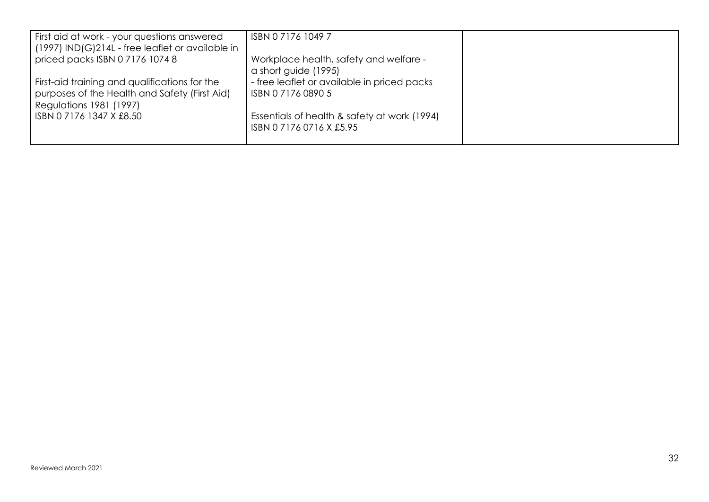| First aid at work - your questions answered<br>$(1997)$ IND $(G)$ 214L - free leaflet or available in                     | ISBN 0717610497                                                          |  |
|---------------------------------------------------------------------------------------------------------------------------|--------------------------------------------------------------------------|--|
| priced packs ISBN 0 7176 1074 8                                                                                           | Workplace health, safety and welfare -<br>a short guide (1995)           |  |
| First-aid training and qualifications for the<br>purposes of the Health and Safety (First Aid)<br>Regulations 1981 (1997) | - free leaflet or available in priced packs<br>ISBN 0717608905           |  |
| ISBN 0 7176 1347 X £8.50                                                                                                  | Essentials of health & safety at work (1994)<br>ISBN 0 7176 0716 X £5.95 |  |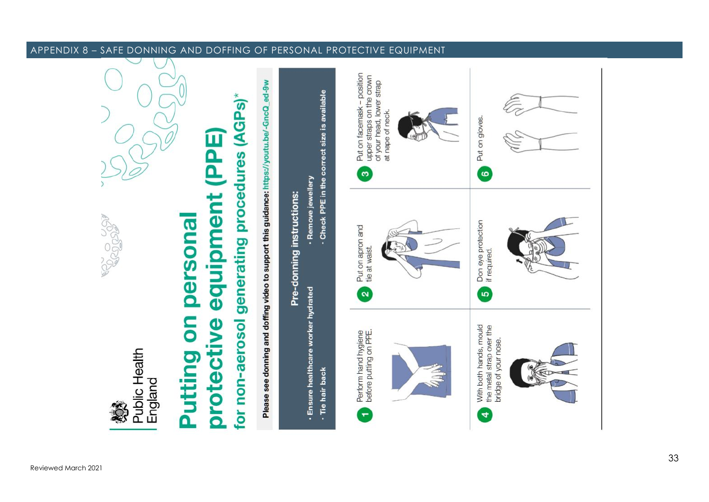

 $\overline{\phantom{a}}$ 

Public Health England

# for non-aerosol generating procedures (AGPs) PPE) equipment persona Putting on protective

Please see donning and doffing video to support this guidance: https://youtu.be/-GncQ\_ed-9w



#### APPENDIX 8 – SAFE DONNING AND DOFFING OF PERSONAL PROTECTIVE EQUIPMENT